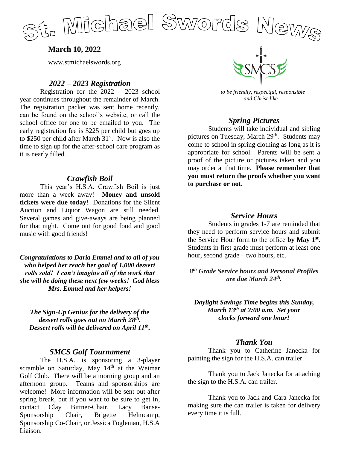

**March 10, 2022**

www.stmichaelswords.org

### *2022 – 2023 Registration*

Registration for the 2022 – 2023 school year continues throughout the remainder of March. The registration packet was sent home recently, can be found on the school's website, or call the school office for one to be emailed to you. The early registration fee is \$225 per child but goes up to \$250 per child after March  $31<sup>st</sup>$ . Now is also the time to sign up for the after-school care program as it is nearly filled.

#### *Crawfish Boil*

This year's H.S.A. Crawfish Boil is just more than a week away! **Money and unsold tickets were due today**! Donations for the Silent Auction and Liquor Wagon are still needed. Several games and give-aways are being planned for that night. Come out for good food and good music with good friends!

*Congratulations to Daria Emmel and to all of you who helped her reach her goal of 1,000 dessert rolls sold! I can't imagine all of the work that she will be doing these next few weeks! God bless Mrs. Emmel and her helpers!*

*The Sign-Up Genius for the delivery of the dessert rolls goes out on March 28th . Dessert rolls will be delivered on April 11th .*

### *SMCS Golf Tournament*

The H.S.A. is sponsoring a 3-player scramble on Saturday, May  $14<sup>th</sup>$  at the Weimar Golf Club. There will be a morning group and an afternoon group. Teams and sponsorships are welcome! More information will be sent out after spring break, but if you want to be sure to get in, contact Clay Bittner-Chair, Lacy Banse-Sponsorship Chair, Brigette Helmcamp, Sponsorship Co-Chair, or Jessica Fogleman, H.S.A Liaison.



 *to be friendly, respectful, responsible and Christ-like*

### *Spring Pictures*

Students will take individual and sibling pictures on Tuesday, March 29<sup>th</sup>. Students may come to school in spring clothing as long as it is appropriate for school. Parents will be sent a proof of the picture or pictures taken and you may order at that time. **Please remember that you must return the proofs whether you want to purchase or not.**

### *Service Hours*

Students in grades 1-7 are reminded that they need to perform service hours and submit the Service Hour form to the office **by May 1st** . Students in first grade must perform at least one hour, second grade – two hours, etc.

*8 th Grade Service hours and Personal Profiles are due March 24th .*

*Daylight Savings Time begins this Sunday, March 13th at 2:00 a.m. Set your clocks forward one hour!*

### *Thank You*

Thank you to Catherine Janecka for painting the sign for the H.S.A. can trailer.

Thank you to Jack Janecka for attaching the sign to the H.S.A. can trailer.

Thank you to Jack and Cara Janecka for making sure the can trailer is taken for delivery every time it is full.